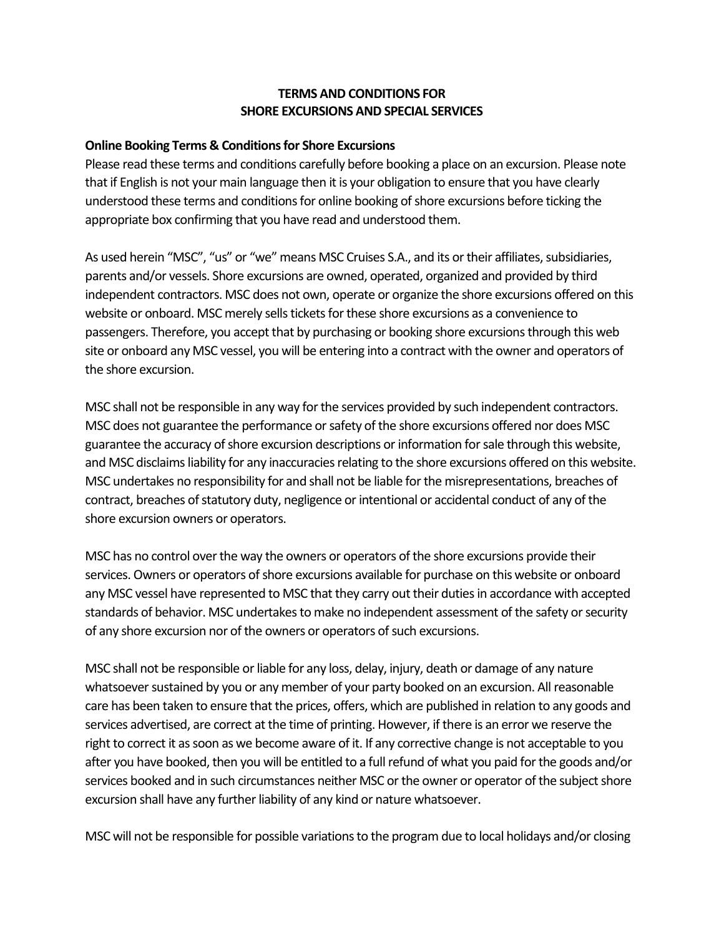## **TERMS AND CONDITIONS FOR SHORE EXCURSIONS AND SPECIAL SERVICES**

## **Online Booking Terms & Conditions for Shore Excursions**

Please read these terms and conditions carefully before booking a place on an excursion. Please note that if English is not your main language then it is your obligation to ensure that you have clearly understood these terms and conditions for online booking of shore excursions before ticking the appropriate box confirming that you have read and understood them.

As used herein "MSC", "us" or "we" means MSC Cruises S.A., and its or their affiliates, subsidiaries, parents and/or vessels. Shore excursions are owned, operated, organized and provided by third independent contractors. MSC does not own, operate or organize the shore excursions offered on this website or onboard. MSC merely sells tickets for these shore excursions as a convenience to passengers. Therefore, you accept that by purchasing or booking shore excursions through this web site or onboard any MSC vessel, you will be entering into a contract with the owner and operators of the shore excursion.

MSC shall not be responsible in any way for the services provided by such independent contractors. MSC does not guarantee the performance or safety of the shore excursions offered nor does MSC guarantee the accuracy of shore excursion descriptions or information for sale through this website, and MSC disclaims liability for any inaccuracies relating to the shore excursions offered on this website. MSC undertakes no responsibility for and shall not be liable for the misrepresentations, breaches of contract, breaches of statutory duty, negligence or intentional or accidental conduct of any of the shore excursion owners or operators.

MSC has no control over the way the owners or operators of the shore excursions provide their services. Owners or operators of shore excursions available for purchase on this website or onboard any MSC vessel have represented to MSC that they carry out their duties in accordance with accepted standards of behavior. MSC undertakes to make no independent assessment of the safety or security of any shore excursion nor of the owners or operators of such excursions.

MSC shall not be responsible or liable for any loss, delay, injury, death or damage of any nature whatsoever sustained by you or any member of your party booked on an excursion. All reasonable care has been taken to ensure that the prices, offers, which are published in relation to any goods and services advertised, are correct at the time of printing. However, if there is an error we reserve the right to correct it as soon as we become aware of it. If any corrective change is not acceptable to you after you have booked, then you will be entitled to a full refund of what you paid for the goods and/or services booked and in such circumstances neither MSC or the owner or operator of the subject shore excursion shall have any further liability of any kind or nature whatsoever.

MSC will not be responsible for possible variations to the program due to local holidays and/or closing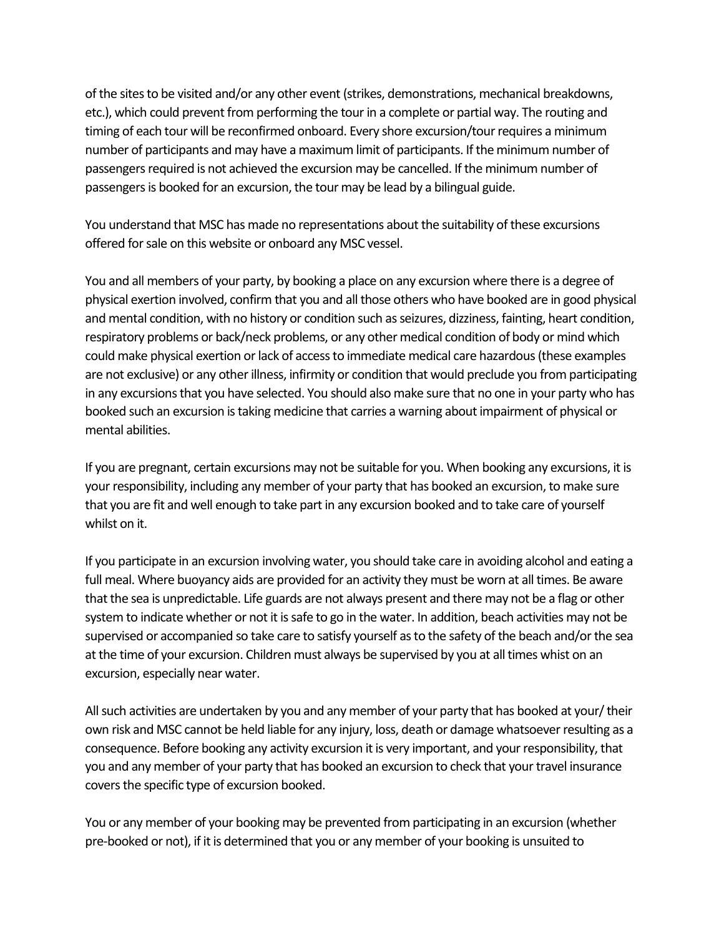of the sites to be visited and/or any other event (strikes, demonstrations, mechanical breakdowns, etc.), which could prevent from performing the tour in a complete or partial way. The routing and timing of each tour will be reconfirmed onboard. Every shore excursion/tour requires a minimum number of participants and may have a maximum limit of participants. If the minimum number of passengers required is not achieved the excursion may be cancelled. If the minimum number of passengers is booked for an excursion, the tour may be lead by a bilingual guide.

You understand that MSC has made no representations about the suitability of these excursions offered for sale on this website or onboard any MSC vessel.

You and all members of your party, by booking a place on any excursion where there is a degree of physical exertion involved, confirm that you and all those others who have booked are in good physical and mental condition, with no history or condition such as seizures, dizziness, fainting, heart condition, respiratory problems or back/neck problems, or any other medical condition of body or mind which could make physical exertion or lack of access to immediate medical care hazardous (these examples are not exclusive) or any other illness, infirmity or condition that would preclude you from participating in any excursions that you have selected. You should also make sure that no one in your party who has booked such an excursion is taking medicine that carries a warning about impairment of physical or mental abilities.

If you are pregnant, certain excursions may not be suitable for you. When booking any excursions, it is your responsibility, including any member of your party that has booked an excursion, to make sure that you are fit and well enough to take part in any excursion booked and to take care of yourself whilst on it.

If you participate in an excursion involving water, you should take care in avoiding alcohol and eating a full meal. Where buoyancy aids are provided for an activity they must be worn at all times. Be aware that the sea is unpredictable. Life guards are not always present and there may not be a flag or other system to indicate whether or not it is safe to go in the water. In addition, beach activities may not be supervised or accompanied so take care to satisfy yourself as to the safety of the beach and/or the sea at the time of your excursion. Children must always be supervised by you at all times whist on an excursion, especially near water.

All such activities are undertaken by you and any member of your party that has booked at your/ their own risk and MSC cannot be held liable for any injury, loss, death or damage whatsoever resulting as a consequence. Before booking any activity excursion it is very important, and your responsibility, that you and any member of your party that has booked an excursion to check that your travel insurance covers the specific type of excursion booked.

You or any member of your booking may be prevented from participating in an excursion (whether pre-booked or not), if it is determined that you or any member of your booking is unsuited to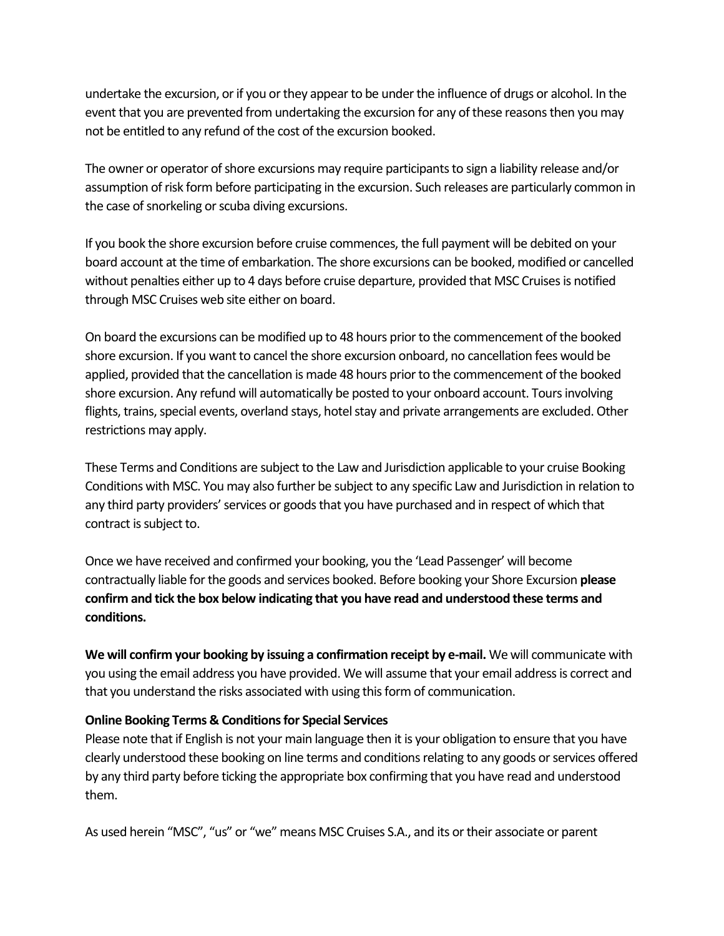undertake the excursion, or if you or they appear to be under the influence of drugs or alcohol. In the event that you are prevented from undertaking the excursion for any of these reasons then you may not be entitled to any refund of the cost of the excursion booked.

The owner or operator of shore excursions may require participants to sign a liability release and/or assumption of risk form before participating in the excursion. Such releases are particularly common in the case of snorkeling or scuba diving excursions.

If you book the shore excursion before cruise commences, the full payment will be debited on your board account at the time of embarkation. The shore excursions can be booked, modified or cancelled without penalties either up to 4 days before cruise departure, provided that MSC Cruises is notified through MSC Cruises web site either on board.

On board the excursions can be modified up to 48 hours prior to the commencement of the booked shore excursion. If you want to cancel the shore excursion onboard, no cancellation fees would be applied, provided that the cancellation is made 48 hours prior to the commencement of the booked shore excursion. Any refund will automatically be posted to your onboard account. Tours involving flights, trains, special events, overland stays, hotel stay and private arrangements are excluded. Other restrictions may apply.

These Terms and Conditions are subject to the Law and Jurisdiction applicable to your cruise Booking Conditions with MSC. You may also further be subject to any specific Law and Jurisdiction in relation to any third party providers' services or goods that you have purchased and in respect of which that contract is subject to.

Once we have received and confirmed your booking, you the 'Lead Passenger' will become contractually liable for the goods and services booked. Before booking your Shore Excursion **please confirm and tick the box below indicating that you have read and understood these terms and conditions.**

**We will confirm your booking by issuing a confirmation receipt by e-mail.** We will communicate with you using the email address you have provided. We will assume that your email address is correct and that you understand the risks associated with using this form of communication.

## **Online Booking Terms & Conditions for Special Services**

Please note that if English is not your main language then it is your obligation to ensure that you have clearly understood these booking on line terms and conditions relating to any goods or services offered by any third party before ticking the appropriate box confirming that you have read and understood them.

As used herein "MSC", "us" or "we" means MSC Cruises S.A., and its or their associate or parent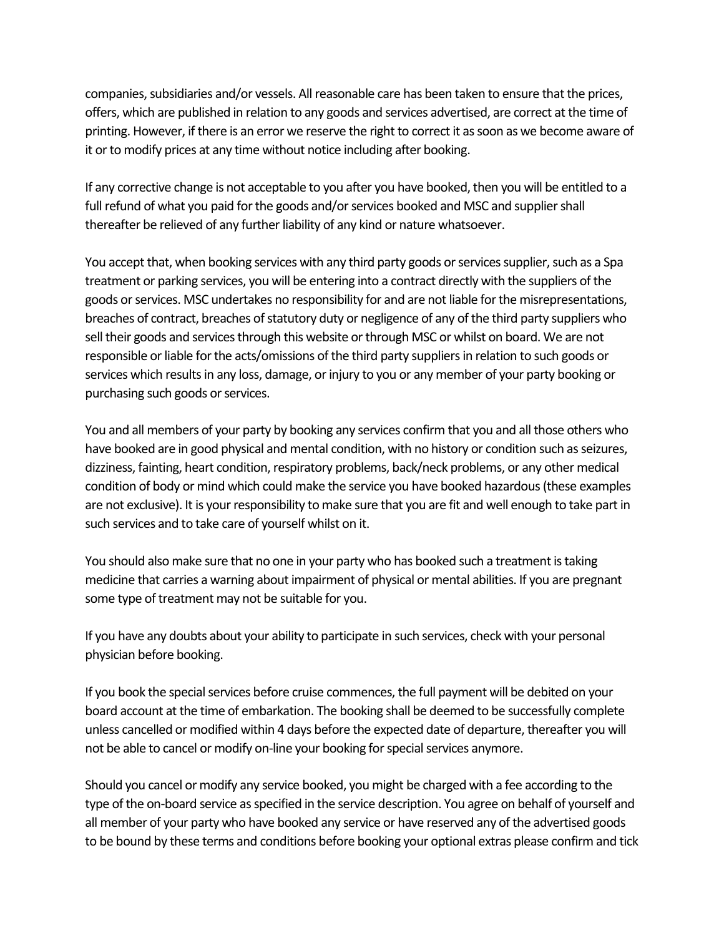companies, subsidiaries and/or vessels. All reasonable care has been taken to ensure that the prices, offers, which are published in relation to any goods and services advertised, are correct at the time of printing. However, if there is an error we reserve the right to correct it as soon as we become aware of it or to modify prices at any time without notice including after booking.

If any corrective change is not acceptable to you after you have booked, then you will be entitled to a full refund of what you paid for the goods and/or services booked and MSC and supplier shall thereafter be relieved of any further liability of any kind or nature whatsoever.

You accept that, when booking services with any third party goods or services supplier, such as a Spa treatment or parking services, you will be entering into a contract directly with the suppliers of the goods or services. MSC undertakes no responsibility for and are not liable for the misrepresentations, breaches of contract, breaches of statutory duty or negligence of any of the third party suppliers who sell their goods and services through this website or through MSC or whilst on board. We are not responsible or liable for the acts/omissions of the third party suppliers in relation to such goods or services which results in any loss, damage, or injury to you or any member of your party booking or purchasing such goods or services.

You and all members of your party by booking any services confirm that you and all those others who have booked are in good physical and mental condition, with no history or condition such as seizures, dizziness, fainting, heart condition, respiratory problems, back/neck problems, or any other medical condition of body or mind which could make the service you have booked hazardous (these examples are not exclusive). It is your responsibility to make sure that you are fit and well enough to take part in such services and to take care of yourself whilst on it.

You should also make sure that no one in your party who has booked such a treatment is taking medicine that carries a warning about impairment of physical or mental abilities. If you are pregnant some type of treatment may not be suitable for you.

If you have any doubts about your ability to participate in such services, check with your personal physician before booking.

If you book the special services before cruise commences, the full payment will be debited on your board account at the time of embarkation. The booking shall be deemed to be successfully complete unless cancelled or modified within 4 days before the expected date of departure, thereafter you will not be able to cancel or modify on-line your booking for special services anymore.

Should you cancel or modify any service booked, you might be charged with a fee according to the type of the on-board service as specified in the service description. You agree on behalf of yourself and all member of your party who have booked any service or have reserved any of the advertised goods to be bound by these terms and conditions before booking your optional extras please confirm and tick